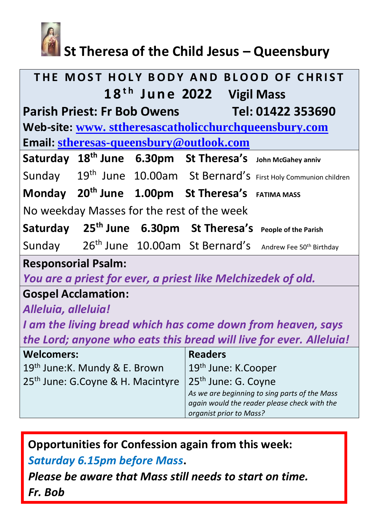

# **St Theresa of the Child Jesus – Queensbury**

| THE MOST HOLY BODY AND BLOOD OF CHRIST                                  |                                                                                                                          |
|-------------------------------------------------------------------------|--------------------------------------------------------------------------------------------------------------------------|
| 18 <sup>th</sup> June 2022 Vigil Mass                                   |                                                                                                                          |
| <b>Parish Priest: Fr Bob Owens</b><br>$\blacksquare$ Tel: 01422 353690  |                                                                                                                          |
| Web-site: www.sttheresascatholicchurchqueensbury.com                    |                                                                                                                          |
| Email: stheresas-queensbury@outlook.com                                 |                                                                                                                          |
| Saturday 18 <sup>th</sup> June 6.30pm St Theresa's John McGahey anniv   |                                                                                                                          |
|                                                                         | Sunday 19 <sup>th</sup> June 10.00am St Bernard's First Holy Communion children                                          |
| Monday 20 <sup>th</sup> June 1.00pm St Theresa's FATIMA MASS            |                                                                                                                          |
| No weekday Masses for the rest of the week                              |                                                                                                                          |
| Saturday 25 <sup>th</sup> June 6.30pm St Theresa's People of the Parish |                                                                                                                          |
| Sunday                                                                  | 26 <sup>th</sup> June 10.00am St Bernard's Andrew Fee 50 <sup>th</sup> Birthday                                          |
| <b>Responsorial Psalm:</b>                                              |                                                                                                                          |
| You are a priest for ever, a priest like Melchizedek of old.            |                                                                                                                          |
| <b>Gospel Acclamation:</b>                                              |                                                                                                                          |
| Alleluia, alleluia!                                                     |                                                                                                                          |
| I am the living bread which has come down from heaven, says             |                                                                                                                          |
| the Lord; anyone who eats this bread will live for ever. Alleluia!      |                                                                                                                          |
| <b>Welcomers:</b>                                                       | <b>Readers</b>                                                                                                           |
| 19 <sup>th</sup> June: K. Mundy & E. Brown                              | 19 <sup>th</sup> June: K.Cooper                                                                                          |
| 25 <sup>th</sup> June: G.Coyne & H. Macintyre                           | 25 <sup>th</sup> June: G. Coyne                                                                                          |
|                                                                         | As we are beginning to sing parts of the Mass<br>again would the reader please check with the<br>organist prior to Mass? |

**Opportunities for Confession again from this week:** 

*Saturday 6.15pm before Mass***.** 

*Please be aware that Mass still needs to start on time. Fr. Bob*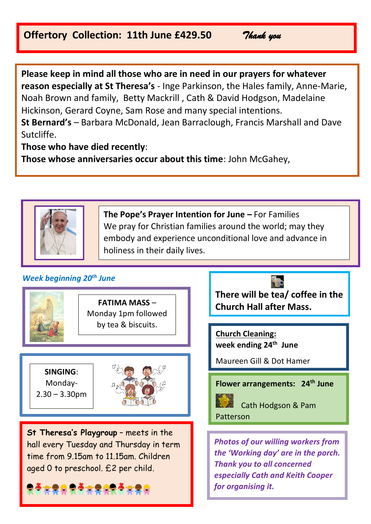## **Offertory Collection: 11th June £429.50** *Thank you*

**Please keep in mind all those who are in need in our prayers for whatever reason especially at St Theresa's** - Inge Parkinson, the Hales family, Anne-Marie, Noah Brown and family, Betty Mackrill , Cath & David Hodgson, Madelaine Hickinson, Gerard Coyne, Sam Rose and many special intentions. **St Bernard's** – Barbara McDonald, Jean Barraclough, Francis Marshall and Dave Sutcliffe.

**Those who have died recently**:

**Those whose anniversaries occur about this time**: John McGahey,



**The Pope's Prayer Intention for June –** For Families We pray for Christian families around the world; may they embody and experience unconditional love and advance in holiness in their daily lives.

## *Week beginning 20th June*



l

**FATIMA MASS** – Monday 1pm followed by tea & biscuits.

**SINGING**: Monday-2.30 – 3.30pm



**St Theresa's Playgroup** – meets in the hall every Tuesday and Thursday in term time from 9.15am to 11.15am. Children aged 0 to preschool. £2 per child.



**There will be tea/ coffee in the Church Hall after Mass.** 

**Church Cleaning: week ending 24th June**

Maureen Gill & Dot Hamer

**Flower arrangements: 24th June**

 Cath Hodgson & Pam Patterson

*Photos of our willing workers from the 'Working day' are in the porch. Thank you to all concerned especially Cath and Keith Cooper for organising it.*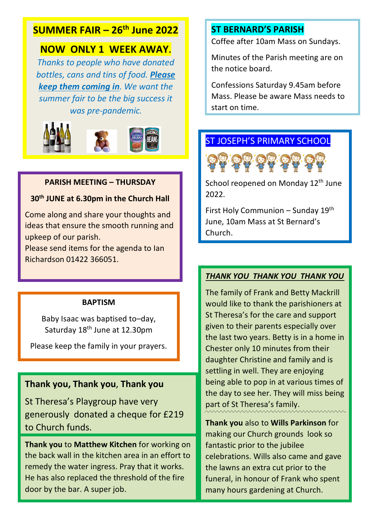# **SUMMER FAIR – 26th June 2022**

## **NOW ONLY 1 WEEK AWAY.**

*Thanks to people who have donated bottles, cans and tins of food. Please keep them coming in. We want the summer fair to be the big success it was pre-pandemic.*



#### **PARISH MEETING – THURSDAY**

#### **30th JUNE at 6.30pm in the Church Hall**

Come along and share your thoughts and ideas that ensure the smooth running and upkeep of our parish.

Please send items for the agenda to Ian Richardson 01422 366051.

#### **BAPTISM**

Baby Isaac was baptised to–day, Saturday 18<sup>th</sup> June at 12.30pm

Please keep the family in your prayers.

## **Thank you, Thank you**, **Thank you**

St Theresa's Playgroup have very generously donated a cheque for £219 to Church funds.

**Thank you** to **Matthew Kitchen** for working on the back wall in the kitchen area in an effort to remedy the water ingress. Pray that it works. He has also replaced the threshold of the fire door by the bar. A super job.

### **ST BERNARD'S PARISH**

Coffee after 10am Mass on Sundays.

Minutes of the Parish meeting are on the notice board.

Confessions Saturday 9.45am before Mass. Please be aware Mass needs to start on time.

## ST JOSEPH'S PRIMARY SCHOOL



School reopened on Monday 12<sup>th</sup> June 2022.

First Holy Communion – Sunday 19th June, 10am Mass at St Bernard's Church.

#### *THANK YOU THANK YOU THANK YOU*

The family of Frank and Betty Mackrill would like to thank the parishioners at St Theresa's for the care and support given to their parents especially over the last two years. Betty is in a home in Chester only 10 minutes from their daughter Christine and family and is settling in well. They are enjoying being able to pop in at various times of the day to see her. They will miss being part of St Theresa's family.

**Thank you** also to **Wills Parkinson** for making our Church grounds look so fantastic prior to the jubilee celebrations. Wills also came and gave the lawns an extra cut prior to the funeral, in honour of Frank who spent many hours gardening at Church.